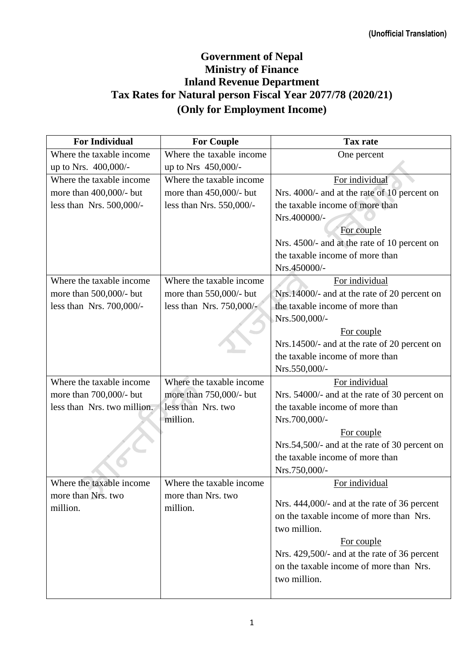## **Government of Nepal Ministry of Finance Inland Revenue Department Tax Rates for Natural person Fiscal Year 2077/78 (2020/21) (Only for Employment Income)**

| <b>For Individual</b>       | <b>For Couple</b>        | <b>Tax rate</b>                                                                         |
|-----------------------------|--------------------------|-----------------------------------------------------------------------------------------|
| Where the taxable income    | Where the taxable income | One percent                                                                             |
| up to Nrs. 400,000/-        | up to Nrs $450,000/-$    |                                                                                         |
| Where the taxable income    | Where the taxable income | For individual                                                                          |
| more than 400,000/- but     | more than 450,000/- but  | Nrs. 4000/- and at the rate of 10 percent on                                            |
| less than Nrs. 500,000/-    | less than Nrs. 550,000/- | the taxable income of more than                                                         |
|                             |                          | Nrs.400000/-                                                                            |
|                             |                          | For couple                                                                              |
|                             |                          | Nrs. 4500/- and at the rate of 10 percent on                                            |
|                             |                          | the taxable income of more than                                                         |
|                             |                          | Nrs.450000/-                                                                            |
| Where the taxable income    | Where the taxable income | For individual                                                                          |
| more than 500,000/- but     | more than 550,000/- but  | Nrs.14000/- and at the rate of 20 percent on                                            |
| less than Nrs. 700,000/-    | less than Nrs. 750,000/- | the taxable income of more than                                                         |
|                             |                          | Nrs.500,000/-                                                                           |
|                             |                          | For couple                                                                              |
|                             |                          | Nrs.14500/- and at the rate of 20 percent on                                            |
|                             |                          | the taxable income of more than                                                         |
|                             |                          | Nrs.550,000/-                                                                           |
| Where the taxable income    | Where the taxable income | For individual                                                                          |
| more than 700,000/- but     | more than 750,000/- but  | Nrs. 54000/- and at the rate of 30 percent on                                           |
| less than Nrs. two million. | less than Nrs. two       | the taxable income of more than                                                         |
|                             | million.                 | Nrs.700,000/-                                                                           |
|                             |                          | For couple                                                                              |
|                             |                          | Nrs.54,500/- and at the rate of 30 percent on                                           |
|                             |                          | the taxable income of more than                                                         |
|                             |                          | Nrs.750,000/-                                                                           |
| Where the taxable income    | Where the taxable income | For individual                                                                          |
| more than Nrs. two          | more than Nrs. two       |                                                                                         |
| million.                    | million.                 | Nrs. 444,000/- and at the rate of 36 percent<br>on the taxable income of more than Nrs. |
|                             |                          |                                                                                         |
|                             |                          | two million.                                                                            |
|                             |                          | For couple                                                                              |
|                             |                          | Nrs. 429,500/- and at the rate of 36 percent<br>on the taxable income of more than Nrs. |
|                             |                          | two million.                                                                            |
|                             |                          |                                                                                         |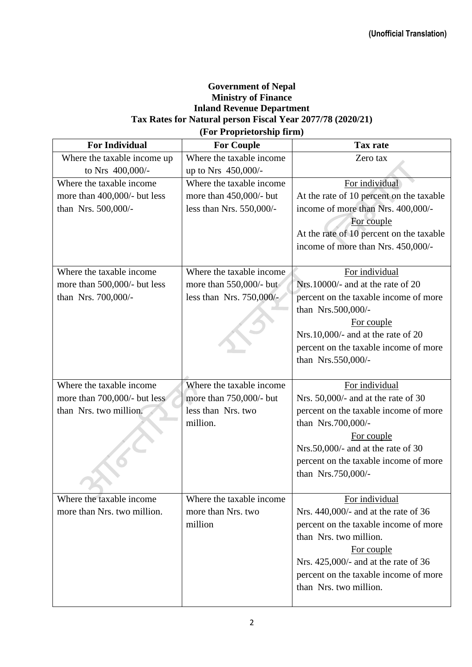## **Government of Nepal Ministry of Finance Inland Revenue Department Tax Rates for Natural person Fiscal Year 2077/78 (2020/21) (For Proprietorship firm)**

| <b>For Individual</b>        | <b>For Couple</b>          | <b>Tax rate</b>                                                 |
|------------------------------|----------------------------|-----------------------------------------------------------------|
| Where the taxable income up  | Where the taxable income   | Zero tax                                                        |
| to Nrs 400,000/-             | up to Nrs 450,000/-        |                                                                 |
| Where the taxable income     | Where the taxable income   | For individual                                                  |
| more than 400,000/- but less | more than $450,000/$ - but | At the rate of 10 percent on the taxable                        |
| than Nrs. 500,000/-          | less than Nrs. 550,000/-   | income of more than Nrs. 400,000/-                              |
|                              |                            | For couple                                                      |
|                              |                            | At the rate of 10 percent on the taxable                        |
|                              |                            | income of more than Nrs. 450,000/-                              |
|                              |                            |                                                                 |
| Where the taxable income     | Where the taxable income   | For individual                                                  |
| more than 500,000/- but less | more than $550,000/$ - but | Nrs.10000/- and at the rate of 20                               |
| than Nrs. 700,000/-          | less than Nrs. 750,000/-   | percent on the taxable income of more                           |
|                              |                            | than Nrs.500,000/-                                              |
|                              |                            | For couple                                                      |
|                              |                            | Nrs.10,000/- and at the rate of $20$                            |
|                              |                            | percent on the taxable income of more                           |
|                              |                            | than Nrs.550,000/-                                              |
|                              |                            |                                                                 |
| Where the taxable income     | Where the taxable income   | For individual                                                  |
| more than 700,000/- but less | more than 750,000/- but    | Nrs. $50,000/$ - and at the rate of 30                          |
| than Nrs. two million.       | less than Nrs. two         | percent on the taxable income of more                           |
|                              | million.                   | than Nrs.700,000/-                                              |
|                              |                            | For couple                                                      |
|                              |                            | Nrs.50,000/- and at the rate of 30                              |
|                              |                            | percent on the taxable income of more                           |
|                              |                            | than Nrs.750,000/-                                              |
|                              |                            |                                                                 |
| Where the taxable income     | Where the taxable income   | For individual                                                  |
| more than Nrs. two million.  | more than Nrs. two         | Nrs. 440,000/- and at the rate of 36                            |
|                              | million                    | percent on the taxable income of more                           |
|                              |                            | than Nrs. two million.                                          |
|                              |                            | For couple                                                      |
|                              |                            |                                                                 |
|                              |                            | Nrs. 425,000/- and at the rate of 36                            |
|                              |                            | percent on the taxable income of more<br>than Nrs. two million. |